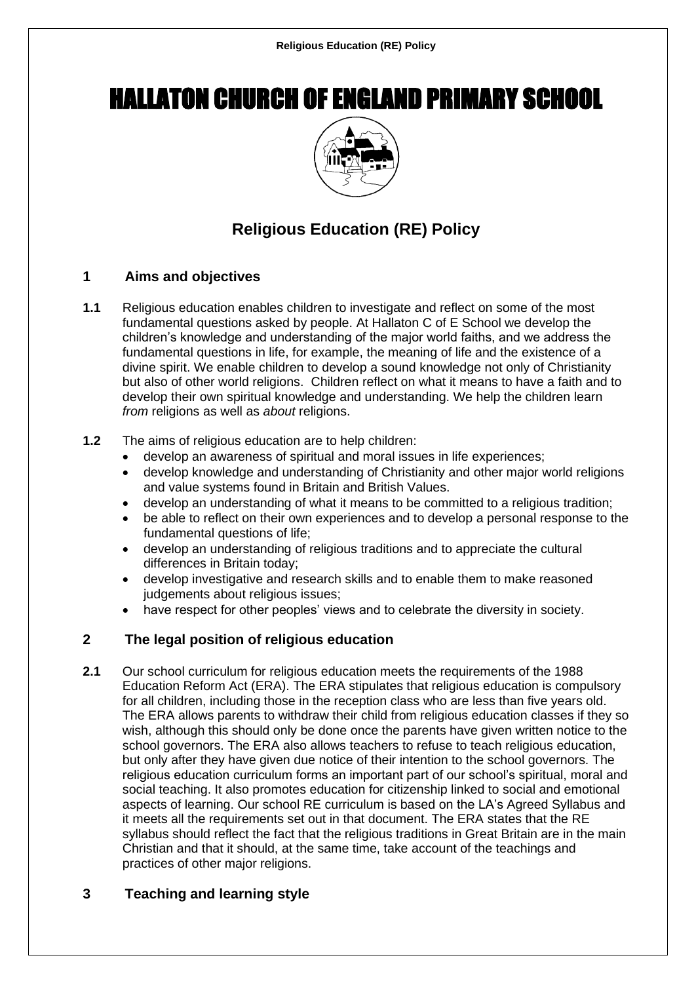# HALLATON CHURCH OF ENGLAND PRIMARY SCHOOL



# **Religious Education (RE) Policy**

# **1 Aims and objectives**

- **1.1** Religious education enables children to investigate and reflect on some of the most fundamental questions asked by people. At Hallaton C of E School we develop the children's knowledge and understanding of the major world faiths, and we address the fundamental questions in life, for example, the meaning of life and the existence of a divine spirit. We enable children to develop a sound knowledge not only of Christianity but also of other world religions. Children reflect on what it means to have a faith and to develop their own spiritual knowledge and understanding. We help the children learn *from* religions as well as *about* religions.
- **1.2** The aims of religious education are to help children:
	- develop an awareness of spiritual and moral issues in life experiences;
	- develop knowledge and understanding of Christianity and other major world religions and value systems found in Britain and British Values.
	- develop an understanding of what it means to be committed to a religious tradition;
	- be able to reflect on their own experiences and to develop a personal response to the fundamental questions of life;
	- develop an understanding of religious traditions and to appreciate the cultural differences in Britain today;
	- develop investigative and research skills and to enable them to make reasoned judgements about religious issues;
	- have respect for other peoples' views and to celebrate the diversity in society.

# **2 The legal position of religious education**

**2.1** Our school curriculum for religious education meets the requirements of the 1988 Education Reform Act (ERA). The ERA stipulates that religious education is compulsory for all children, including those in the reception class who are less than five years old. The ERA allows parents to withdraw their child from religious education classes if they so wish, although this should only be done once the parents have given written notice to the school governors. The ERA also allows teachers to refuse to teach religious education, but only after they have given due notice of their intention to the school governors. The religious education curriculum forms an important part of our school's spiritual, moral and social teaching. It also promotes education for citizenship linked to social and emotional aspects of learning. Our school RE curriculum is based on the LA's Agreed Syllabus and it meets all the requirements set out in that document. The ERA states that the RE syllabus should reflect the fact that the religious traditions in Great Britain are in the main Christian and that it should, at the same time, take account of the teachings and practices of other major religions.

# **3 Teaching and learning style**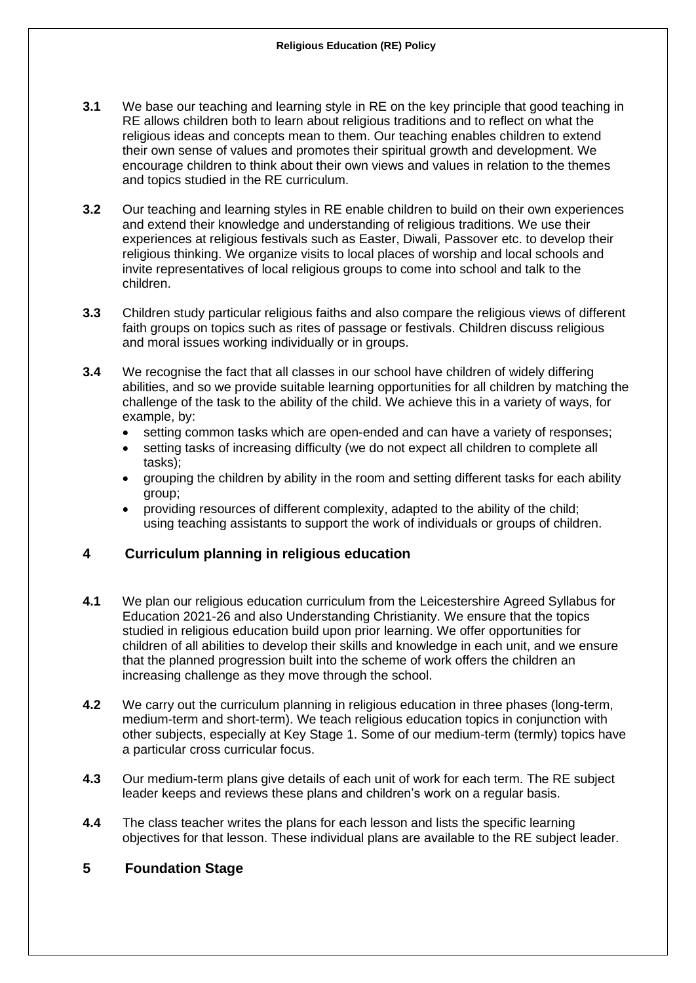- **3.1** We base our teaching and learning style in RE on the key principle that good teaching in RE allows children both to learn about religious traditions and to reflect on what the religious ideas and concepts mean to them. Our teaching enables children to extend their own sense of values and promotes their spiritual growth and development. We encourage children to think about their own views and values in relation to the themes and topics studied in the RE curriculum.
- **3.2** Our teaching and learning styles in RE enable children to build on their own experiences and extend their knowledge and understanding of religious traditions. We use their experiences at religious festivals such as Easter, Diwali, Passover etc. to develop their religious thinking. We organize visits to local places of worship and local schools and invite representatives of local religious groups to come into school and talk to the children.
- **3.3** Children study particular religious faiths and also compare the religious views of different faith groups on topics such as rites of passage or festivals. Children discuss religious and moral issues working individually or in groups.
- **3.4** We recognise the fact that all classes in our school have children of widely differing abilities, and so we provide suitable learning opportunities for all children by matching the challenge of the task to the ability of the child. We achieve this in a variety of ways, for example, by:
	- setting common tasks which are open-ended and can have a variety of responses;
	- setting tasks of increasing difficulty (we do not expect all children to complete all tasks);
	- grouping the children by ability in the room and setting different tasks for each ability group;
	- providing resources of different complexity, adapted to the ability of the child; using teaching assistants to support the work of individuals or groups of children.

#### **4 Curriculum planning in religious education**

- **4.1** We plan our religious education curriculum from the Leicestershire Agreed Syllabus for Education 2021-26 and also Understanding Christianity. We ensure that the topics studied in religious education build upon prior learning. We offer opportunities for children of all abilities to develop their skills and knowledge in each unit, and we ensure that the planned progression built into the scheme of work offers the children an increasing challenge as they move through the school.
- **4.2** We carry out the curriculum planning in religious education in three phases (long-term, medium-term and short-term). We teach religious education topics in conjunction with other subjects, especially at Key Stage 1. Some of our medium-term (termly) topics have a particular cross curricular focus.
- **4.3** Our medium-term plans give details of each unit of work for each term. The RE subject leader keeps and reviews these plans and children's work on a regular basis.
- **4.4** The class teacher writes the plans for each lesson and lists the specific learning objectives for that lesson. These individual plans are available to the RE subject leader.

# **5 Foundation Stage**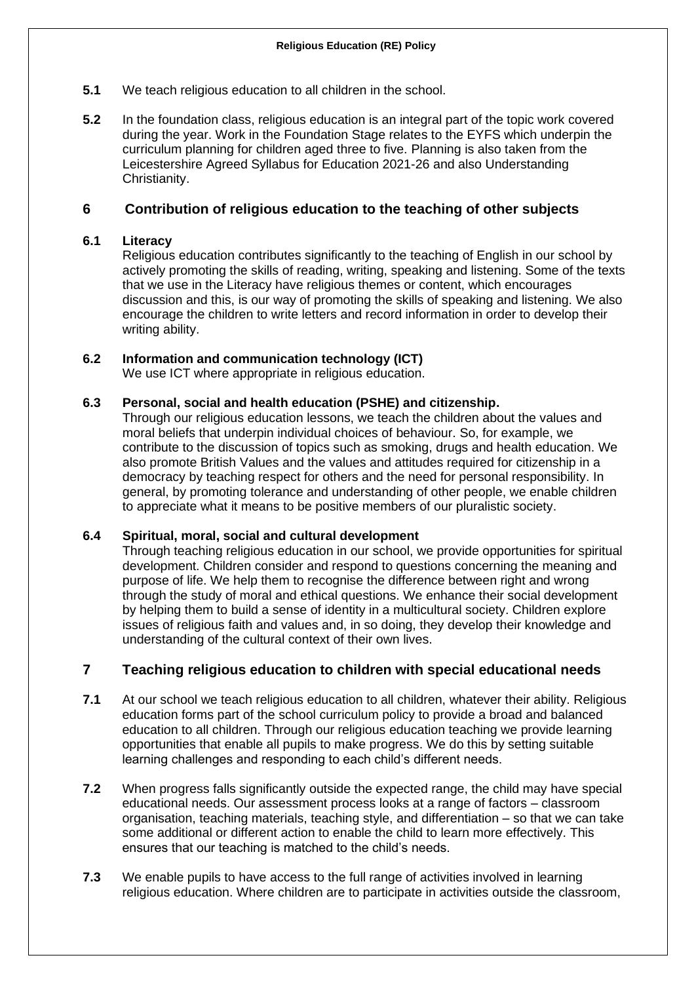- **5.1** We teach religious education to all children in the school.
- **5.2** In the foundation class, religious education is an integral part of the topic work covered during the year. Work in the Foundation Stage relates to the EYFS which underpin the curriculum planning for children aged three to five. Planning is also taken from the Leicestershire Agreed Syllabus for Education 2021-26 and also Understanding Christianity.

#### **6 Contribution of religious education to the teaching of other subjects**

#### **6.1 Literacy**

Religious education contributes significantly to the teaching of English in our school by actively promoting the skills of reading, writing, speaking and listening. Some of the texts that we use in the Literacy have religious themes or content, which encourages discussion and this, is our way of promoting the skills of speaking and listening. We also encourage the children to write letters and record information in order to develop their writing ability.

#### **6.2 Information and communication technology (ICT)**

We use ICT where appropriate in religious education.

#### **6.3 Personal, social and health education (PSHE) and citizenship.**

Through our religious education lessons, we teach the children about the values and moral beliefs that underpin individual choices of behaviour. So, for example, we contribute to the discussion of topics such as smoking, drugs and health education. We also promote British Values and the values and attitudes required for citizenship in a democracy by teaching respect for others and the need for personal responsibility. In general, by promoting tolerance and understanding of other people, we enable children to appreciate what it means to be positive members of our pluralistic society.

#### **6.4 Spiritual, moral, social and cultural development**

Through teaching religious education in our school, we provide opportunities for spiritual development. Children consider and respond to questions concerning the meaning and purpose of life. We help them to recognise the difference between right and wrong through the study of moral and ethical questions. We enhance their social development by helping them to build a sense of identity in a multicultural society. Children explore issues of religious faith and values and, in so doing, they develop their knowledge and understanding of the cultural context of their own lives.

#### **7 Teaching religious education to children with special educational needs**

- **7.1** At our school we teach religious education to all children, whatever their ability. Religious education forms part of the school curriculum policy to provide a broad and balanced education to all children. Through our religious education teaching we provide learning opportunities that enable all pupils to make progress. We do this by setting suitable learning challenges and responding to each child's different needs.
- **7.2** When progress falls significantly outside the expected range, the child may have special educational needs. Our assessment process looks at a range of factors – classroom organisation, teaching materials, teaching style, and differentiation – so that we can take some additional or different action to enable the child to learn more effectively. This ensures that our teaching is matched to the child's needs.
- **7.3** We enable pupils to have access to the full range of activities involved in learning religious education. Where children are to participate in activities outside the classroom,